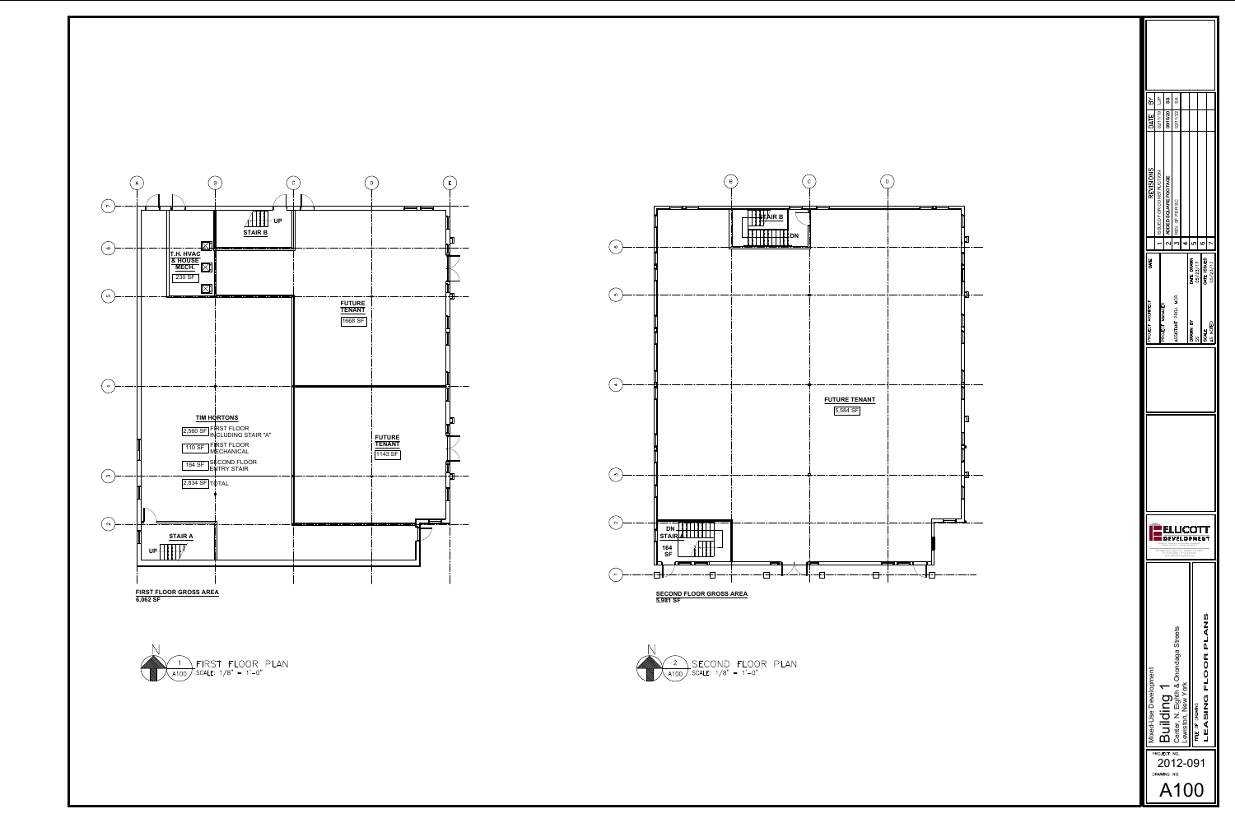

|                           | Mixed-Use Development                       |                                                                                                                                                                                                                                                                                                              |     | PROJECT ARCHITECT    | DATE                          | <b>REVISIONS</b>        | $\approx$<br>DATE    |  |
|---------------------------|---------------------------------------------|--------------------------------------------------------------------------------------------------------------------------------------------------------------------------------------------------------------------------------------------------------------------------------------------------------------|-----|----------------------|-------------------------------|-------------------------|----------------------|--|
| PROJECT<br><b>DRAWING</b> |                                             |                                                                                                                                                                                                                                                                                                              |     | PROJECT MANAGER      |                               | ISSUED FOR CONSTRUCTION | ۹L<br>د<br>02/11/19  |  |
|                           | Building                                    |                                                                                                                                                                                                                                                                                                              |     |                      | $\overline{\mathcal{C}}$      | ADDED SQUARE FOOTAGE    | ပ္ပ<br>09/15/20      |  |
| NO.<br>NO.                | Streets<br>ω<br>Center, N. Eighth & Onondag | LLICO<br>O 716.854.0060   F 716.852.2829<br>www.ellicottdevelopment.com                                                                                                                                                                                                                                      |     | ASSISTANT PROJ. MGR. | $\overline{C}$                | REV. SF PER SC          | $\delta$<br>02/11/22 |  |
|                           | ewiston, New York                           |                                                                                                                                                                                                                                                                                                              |     |                      | 4                             |                         |                      |  |
| 2012-091                  | TITLE OF DRAWING                            | <b>DEVELOPMENT</b><br>$\begin{array}{lll} \textit{COMMERCLAL} \cdot \textit{RESIDENTAL} \cdot \textit{DEVELOPMENT} \cdot \textit{MANAGEMENT} \\ \textit{LEASING} \cdot \textit{HOSPITALITY} \cdot \textit{PARKING} \cdot \textit{CAR RENTALS} \end{array}$<br>295 Main Street, Suite 210   Buffalo, NY 14203 | ပ္ပ | DRAWN BY             | ഗ<br>DATE DRAWN<br>05/23/17   |                         |                      |  |
|                           | PLANS<br><b>LEASING FLOOR</b>               |                                                                                                                                                                                                                                                                                                              |     | SCALE                | $\overline{Q}$<br>DATE ISSUED |                         |                      |  |
|                           |                                             |                                                                                                                                                                                                                                                                                                              |     | AS NOTED             | 05/23/17                      |                         |                      |  |